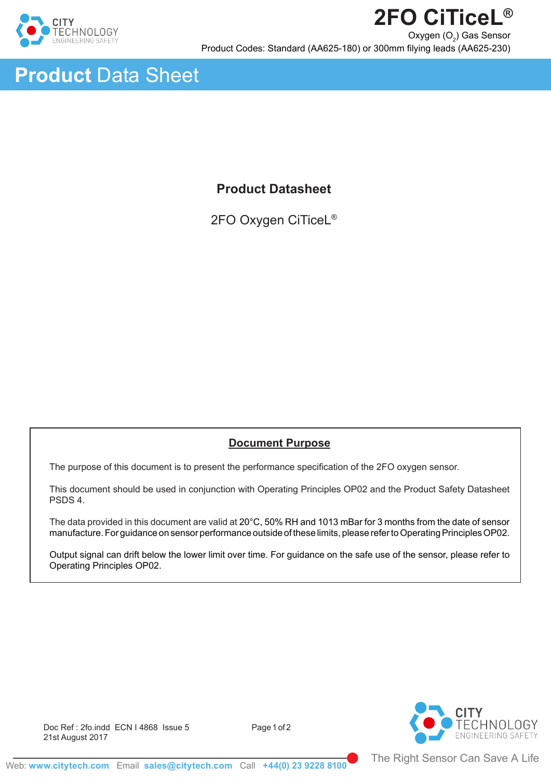

Ī



# **Product Datasheet**

2FO Oxygen CiTiceL®

# **Document Purpose**

The purpose of this document is to present the performance specification of the 2FO oxygen sensor.

This document should be used in conjunction with Operating Principles OP02 and the Product Safety Datasheet PSDS 4.

The data provided in this document are valid at 20°C, 50% RH and 1013 mBar for 3 months from the date of sensor manufacture. For guidance on sensor performance outside of these limits, please refer to Operating Principles OP02.

Output signal can drift below the lower limit over time. For guidance on the safe use of the sensor, please refer to Operating Principles OP02.



Doc Ref: 2fo.indd ECN I 4868 Issue 5 Page 1 of 2 21st August 2017